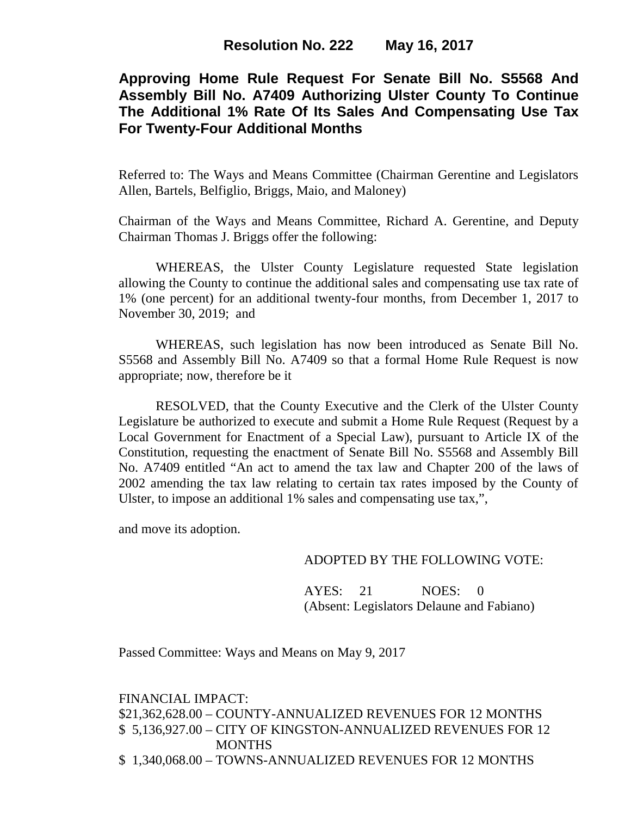# **Approving Home Rule Request For Senate Bill No. S5568 And Assembly Bill No. A7409 Authorizing Ulster County To Continue The Additional 1% Rate Of Its Sales And Compensating Use Tax For Twenty-Four Additional Months**

Referred to: The Ways and Means Committee (Chairman Gerentine and Legislators Allen, Bartels, Belfiglio, Briggs, Maio, and Maloney)

Chairman of the Ways and Means Committee, Richard A. Gerentine, and Deputy Chairman Thomas J. Briggs offer the following:

WHEREAS, the Ulster County Legislature requested State legislation allowing the County to continue the additional sales and compensating use tax rate of 1% (one percent) for an additional twenty-four months, from December 1, 2017 to November 30, 2019; and

WHEREAS, such legislation has now been introduced as Senate Bill No. S5568 and Assembly Bill No. A7409 so that a formal Home Rule Request is now appropriate; now, therefore be it

RESOLVED, that the County Executive and the Clerk of the Ulster County Legislature be authorized to execute and submit a Home Rule Request (Request by a Local Government for Enactment of a Special Law), pursuant to Article IX of the Constitution, requesting the enactment of Senate Bill No. S5568 and Assembly Bill No. A7409 entitled "An act to amend the tax law and Chapter 200 of the laws of 2002 amending the tax law relating to certain tax rates imposed by the County of Ulster, to impose an additional 1% sales and compensating use tax,",

and move its adoption.

### ADOPTED BY THE FOLLOWING VOTE:

AYES: 21 NOES: 0 (Absent: Legislators Delaune and Fabiano)

Passed Committee: Ways and Means on May 9, 2017

FINANCIAL IMPACT: \$21,362,628.00 – COUNTY-ANNUALIZED REVENUES FOR 12 MONTHS \$ 5,136,927.00 – CITY OF KINGSTON-ANNUALIZED REVENUES FOR 12 MONTHS \$ 1,340,068.00 – TOWNS-ANNUALIZED REVENUES FOR 12 MONTHS